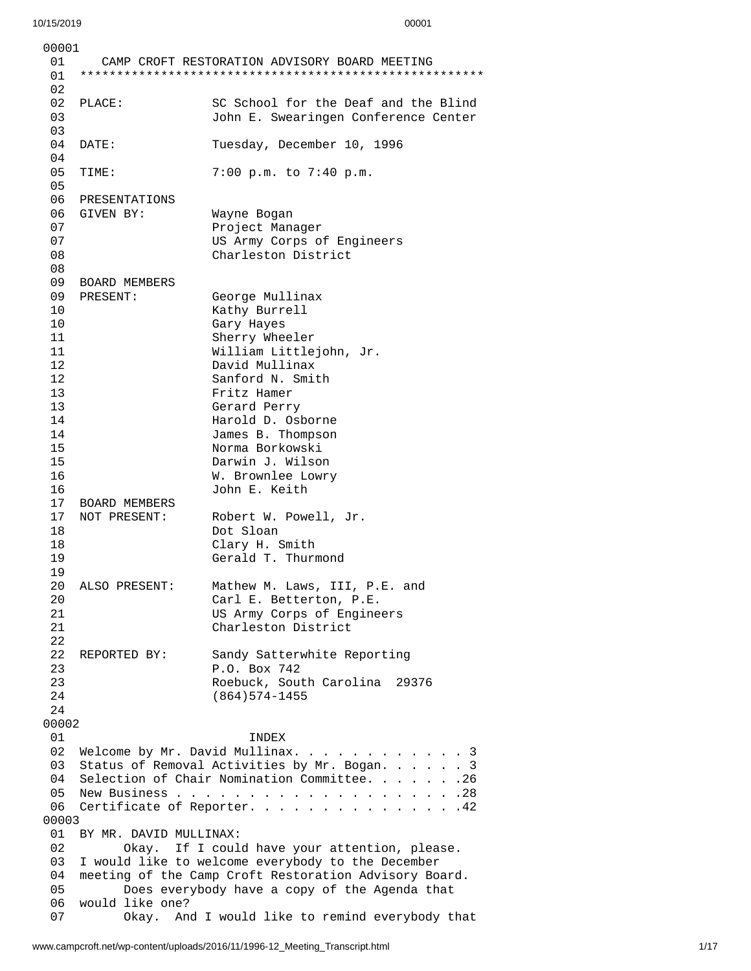|          | 00001                                                                            |                                                                                                        |  |
|----------|----------------------------------------------------------------------------------|--------------------------------------------------------------------------------------------------------|--|
| 01<br>01 |                                                                                  | CAMP CROFT RESTORATION ADVISORY BOARD MEETING                                                          |  |
| 02       |                                                                                  |                                                                                                        |  |
| 02       | PLACE:                                                                           | SC School for the Deaf and the Blind                                                                   |  |
| 03       |                                                                                  | John E. Swearingen Conference Center                                                                   |  |
| 03       |                                                                                  |                                                                                                        |  |
| 04       | DATE:                                                                            | Tuesday, December 10, 1996                                                                             |  |
| 04       |                                                                                  |                                                                                                        |  |
| 05       | TIME:                                                                            | 7:00 p.m. to 7:40 p.m.                                                                                 |  |
| 05       |                                                                                  |                                                                                                        |  |
| 06<br>06 | PRESENTATIONS<br>GIVEN BY:                                                       |                                                                                                        |  |
| 07       |                                                                                  | Wayne Bogan<br>Project Manager                                                                         |  |
| 07       |                                                                                  | US Army Corps of Engineers                                                                             |  |
| 08       |                                                                                  | Charleston District                                                                                    |  |
| 08       |                                                                                  |                                                                                                        |  |
| 09       | <b>BOARD MEMBERS</b>                                                             |                                                                                                        |  |
| 09       | PRESENT:                                                                         | George Mullinax                                                                                        |  |
| 10       |                                                                                  | Kathy Burrell                                                                                          |  |
| 10       |                                                                                  | Gary Hayes                                                                                             |  |
| 11       |                                                                                  | Sherry Wheeler                                                                                         |  |
| 11       |                                                                                  | William Littlejohn, Jr.                                                                                |  |
| 12       |                                                                                  | David Mullinax                                                                                         |  |
| 12       |                                                                                  | Sanford N. Smith                                                                                       |  |
| 13       |                                                                                  | Fritz Hamer                                                                                            |  |
| 13<br>14 |                                                                                  | Gerard Perry<br>Harold D. Osborne                                                                      |  |
| 14       |                                                                                  | James B. Thompson                                                                                      |  |
| 15       |                                                                                  | Norma Borkowski                                                                                        |  |
| 15       |                                                                                  | Darwin J. Wilson                                                                                       |  |
| 16       |                                                                                  | W. Brownlee Lowry                                                                                      |  |
| 16       |                                                                                  | John E. Keith                                                                                          |  |
| 17       | <b>BOARD MEMBERS</b>                                                             |                                                                                                        |  |
| 17       | NOT PRESENT:                                                                     | Robert W. Powell, Jr.                                                                                  |  |
| 18       |                                                                                  | Dot Sloan                                                                                              |  |
| 18       |                                                                                  | Clary H. Smith                                                                                         |  |
| 19       |                                                                                  | Gerald T. Thurmond                                                                                     |  |
| 19       | ALSO PRESENT:                                                                    |                                                                                                        |  |
| 20<br>20 |                                                                                  | Mathew M. Laws, III, P.E. and<br>Carl E. Betterton, P.E.                                               |  |
| 21       |                                                                                  | US Army Corps of Engineers                                                                             |  |
| 21       |                                                                                  | Charleston District                                                                                    |  |
| 22       |                                                                                  |                                                                                                        |  |
| 22       | REPORTED BY:                                                                     | Sandy Satterwhite Reporting                                                                            |  |
| 23       |                                                                                  | P.O. Box 742                                                                                           |  |
| 23       |                                                                                  | Roebuck, South Carolina 29376                                                                          |  |
| 24       |                                                                                  | $(864)574 - 1455$                                                                                      |  |
| 24       |                                                                                  |                                                                                                        |  |
| 00002    |                                                                                  |                                                                                                        |  |
| 01<br>02 |                                                                                  | INDEX                                                                                                  |  |
| 03       | Welcome by Mr. David Mullinax. 3<br>Status of Removal Activities by Mr. Bogan. 3 |                                                                                                        |  |
| 04       | Selection of Chair Nomination Committee. 26                                      |                                                                                                        |  |
| 05       |                                                                                  |                                                                                                        |  |
| 06       | Certificate of Reporter. 42                                                      |                                                                                                        |  |
| 00003    |                                                                                  |                                                                                                        |  |
| 01       | BY MR. DAVID MULLINAX:                                                           |                                                                                                        |  |
| 02       | Okay. If I could have your attention, please.                                    |                                                                                                        |  |
| 03       | I would like to welcome everybody to the December                                |                                                                                                        |  |
| 04<br>05 |                                                                                  | meeting of the Camp Croft Restoration Advisory Board.<br>Does everybody have a copy of the Agenda that |  |
| 06       | would like one?                                                                  |                                                                                                        |  |
| 07       |                                                                                  | Okay. And I would like to remind everybody that                                                        |  |
|          |                                                                                  |                                                                                                        |  |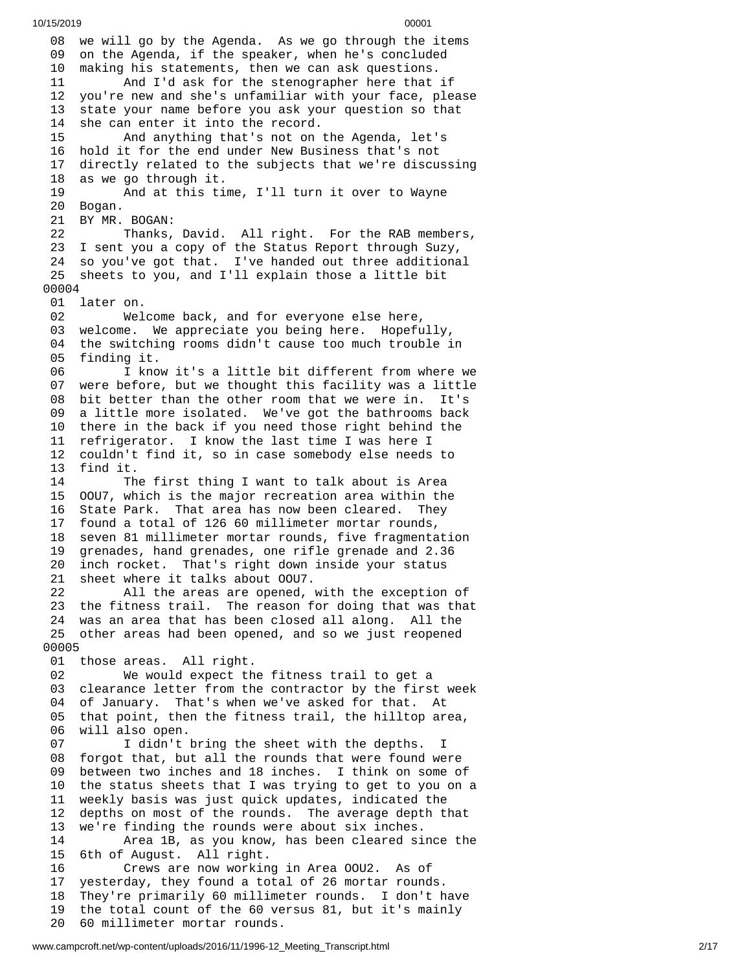08 we will go by the Agenda. As we go through the items 09 on the Agenda, if the speaker, when he's concluded 1 0 making his statements, then we can ask questions. 11 And I'd ask for the stenographer here that i f 12 you're new and she's unfamiliar with your face, please 1 3 state your name before you ask your question so that 1 4 she can enter it into the record. 15 And anything that's not on t h e A g e n d a , l e t's 16 hold it for the end under New Business that's not 1 7 directly related to the subjects that we're discussing 1 8 as we go through it. 19 And at this time, I'll turn it over to Wayne 20 Bogan. 21 BY MR. B O G A N: 22 Thanks, David. All right. For the RAB members, 23 I sent you a copy of the Status Report through Suzy, 24 so you've got that. I've handed out three additional 25 sheets to you, and I'll explain those a little bit 0 0 0 0 4 01 later on. 02 Wel c o m e b a c k , a n d f o r e v e r y o n e e l s e h e r e , 03 welcome. We appreciate you being here. Hopefully, 04 the switching rooms didn't cause too much trouble in 05 finding it. 06 I know it's a little bit different from where we 07 were before, but we thought this facility was a little 08 bit better than the other room that we were in. It's 09 a little more isolated. We've got the bathrooms back 10 there in the back if you need those right behind the 11 refrigerator. I know the last time I was here I 12 couldn't find it, so in case somebody else needs to 13 find it. 14 The first thing I want to talk about is Area 15 00U7, which is the major recreation area within the 16 State Park. That area has now been cleared. They 17 found a total of 126 60 millimeter mortar rounds, 1 8 seven 81 millimeter mortar rounds, five fragmentation 1 9 grenades, hand grenades, one rifle grenade and 2.36 2 0 inch rocket. That's right down inside your status 21 sheet where it talks about 00U7. 22 All the areas are opened, w i t h t h e e x c e p t i o n o f 23 the fitness trail. The reason for doing that was that 24 was an area that has been closed all along. All the 25 other areas had been opened, and so we just reopened 0 0 0 0 5 01 those areas. All right. 02 We would expect the fitness trail to get a 03 clearance letter from the contractor by the first week 04 of January. That's when we've asked for that. At 05 that point, then the fitness trail, the hilltop area, 0 6 will also open. 07 I didn't bring the sheet with the depths. I 08 forgot that, but all the rounds that were found were 0 9 between two inches and 18 inches. I think on some of 1 0 the status sheets that I was trying to get to you on a 1 1 weekly basis was just quick updates, indicated the 12 depths on most of the rounds. The average depth that 1 3 we're finding the rounds were about six inches. 14 Area 1B, as you know, has been cleared since the 15 6th of August. All right. 16 Crews are now working in Area 00U2. As of 1 7 yesterday, they found a total of 26 mortar rounds. 18 They're primarily 60 millimeter rounds. I don't h a v e 19 the total count of the 60 versus 81, but it's mainly 2 0 60 millimeter mortar rounds.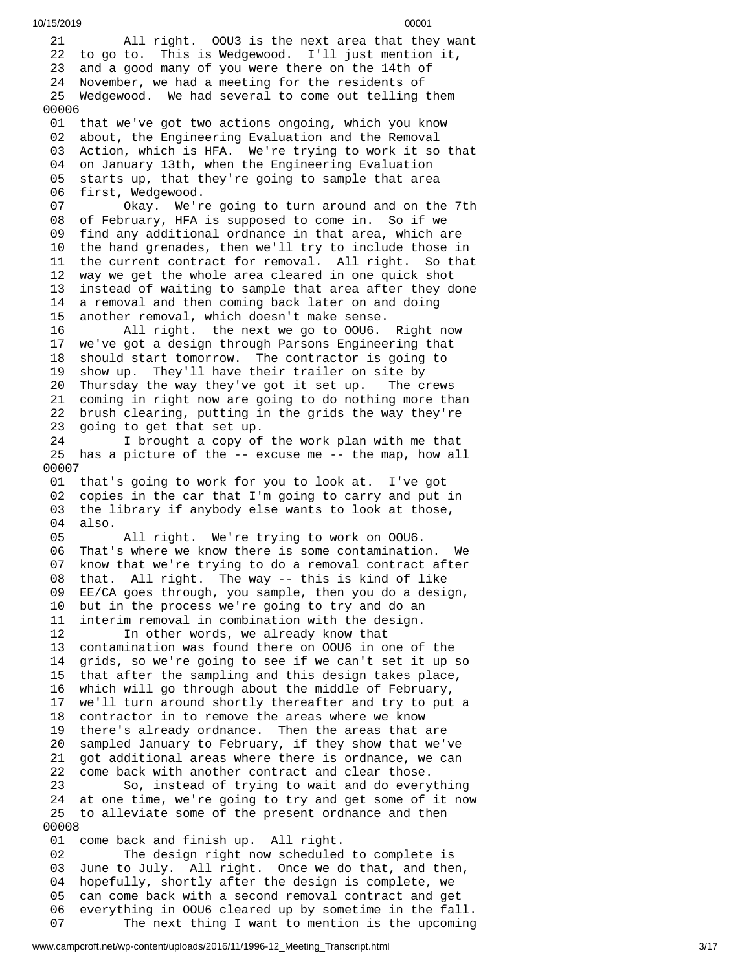2 1 All right. OOU3 is the next area that they want 22 to go to. This is Wedgewood. I'll just mention it, 23 and a good many of you were there on the 14th of 24 November, we had a meeting for the residents of 25 Wedgewood. We had several to come out telling them 0 0 0 0 6 01 that we've got two actions ongoing, which you know 0 2 about, the Engineering Evaluation and the Removal 03 Action, which is HFA. We're trying to work it so that 04 on January 13th, when the Engineering Evaluation 05 starts up, that they're going to sample that area 06 first, Wedgewood. 07 Okay. We'r e g o i n g t o t u r n a r o u n d a n d o n t h e 7 t h 08 of February, HFA is supposed to come in. So if we 09 find any additional ordnance in that area, which are 10 the hand grenades, then we'll try to include those in 11 the current contract for removal. All right. So that 12 way we get the whole area cleared in one quick shot 1 3 instead of waiting to sample that area after they done 1 4 a removal and then coming back later on and doing 1 5 another removal, which doesn't make sense. 16 All right. the next we go to OOU6. R i g h t n o w 17 we've got a design through Parsons Engineering that 18 should start tomorrow. The contractor is going to 1 9 show up. They'll have their trailer on site by 20 Thursday the way they've got it set up. Tl he crews 21 coming in right now are going to do nothing more than 22 brush clearing, putting in the grids the way they're 23 going to get that set up. 24 I brought a copy of the work plan with me that 25 has a picture of the -- excuse me -- the map, how all 0 0 0 0 7 01 that's going to work for you to look at. I've got 02 copies in the car that I'm going to carry and put in 03 the library if anybody else wants to look at those, 0 4 a l s o. 05 All right. We're trying to work on OOU6. 06 That's where we know there is some contaminatio n. W e 0 7 know that we're trying to do a removal contract after 0 8 that. All right. The way -- this is kind of like 0 9 EE/CA goes through, you sample, then you do a design, 10 but in the process we're going to try and do an 11 interim removal in combination with the design. 12 In other words, we already know that 13 contamination was found there on OOU6 in one of t h e 14 grids, so we're going to see if we can't set it up so 15 that after the sampling and this design takes place, 16 which will go through about the middle of February, 17 we'll turn around shortly thereafter and try to put a 18 contractor in to remove the areas where we know 19 there's already ordnance. Then the areas that are 2 0 sampled January to February, if they show that we've 2 1 got additional areas where there is ordnance, we can 2 2 come back with another contract and clear those. 23 So, instead of trying to wait and do everything 24 at one time, we're going to try and get some of it now 25 to alleviate some of the present ordnance and then 0 0 0 0 8 01 come back and finish up. All right. 02 The design right now scheduled to complete is 0 3 June to July. All right. Once we do that, and then, 0 4 hopefully, shortly after the design is complete, we 0 5 can come back with a second removal contract and get

10/15/2019 00001

everything in OOU6 cleared up by sometime in the fall. 07 The next thing I want to mention is the upcoming

0 6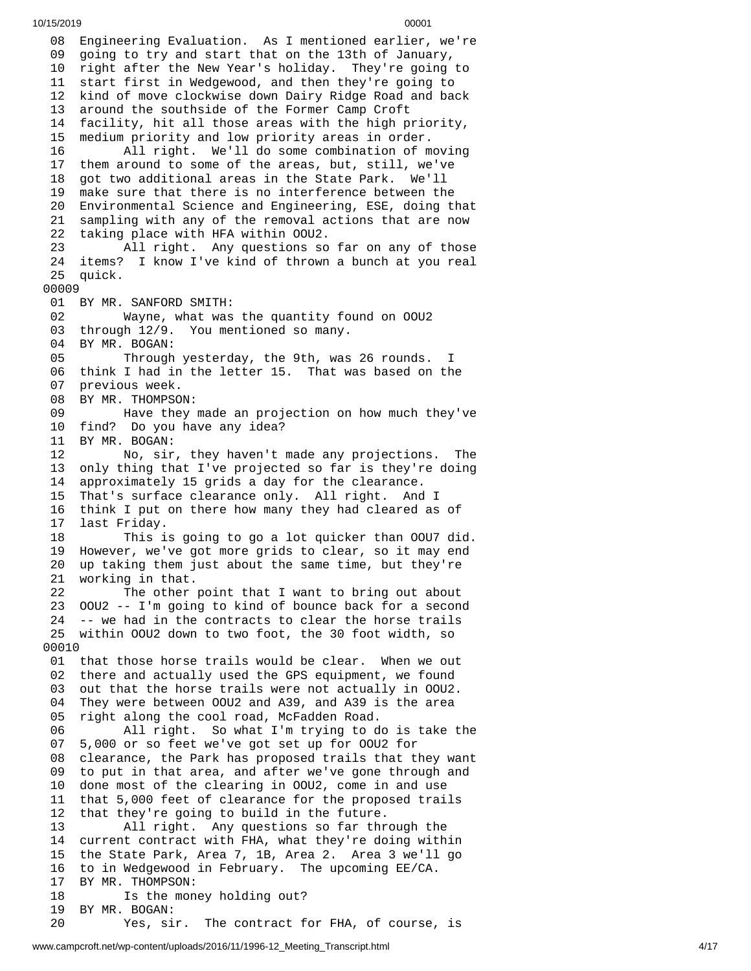08 Engineering Evaluation. As I mentioned earlier, we're 09 going to try and start that on the 13th of January, 10 right after the New Year's holiday. They're going to 11 start first in Wedgewood, and then they're going to 12 kind of move clockwise down Dairy Ridge Road and back 1 3 around the southside of the Former Camp Croft 1 4 facility, hit all those areas with the high priority, 1 5 medium priority and low priority areas in order. 16 All right. We'll do some combination of m o v i n g 1 7 them around to some of the areas, but, still, we've 1 8 got two additional areas in the State Park. We'll 1 9 make sure that there is no interference between the 2 0 Environmental Science and Engineering, ESE, doing that 21 sampling with any of the removal actions that are now 2 2 taking place with HFA within OOU2. 23 All right. Any questions so f a r o n a n y o f t h o s e 24 items? I know I've kind of thrown a bunch at you real 2 5 q u i c k. 00009 01 BY MR. SANFORD SMITH: 02 Wayne, what was the quantity found on OOU2 03 through 12/9. You mentioned so many. 04 BY MR. BOGAN: 05 Through yesterday, the 9th, was 26 rounds. I 0 6 think I had in the letter 15. That was based on the 0 7 previous week. 08 BY MR. THOMPSO N: 09 Have they made an projection on how much they've 10 find? Do you have any idea? 1 1 B Y M R. B O G A N: 12 No, sir, they haven't made any projections. Tl h e 1 3 only thing that I've projected so far is they're doing 1 4 approximately 15 grids a day for the clearance. 15 That's surface clearance only. All right. And I 1 6 think I put on there how many they had cleared as of 1 7 last Friday. 18 This is going to go a lot quicker than OOU7 did. 19 However, we've got more grids to clear, so it may end<br>20 up taking them just about the same time, but they're up taking them just about the same time, but they're 21 working in that. 22 The other point that I want to bring out about 23 OOU2 -- I'm going to kind of bounce back for a second 24 -- we had in the contracts to clear the horse trails 25 within OOU2 down to two foot, the 30 foot width, so 00010 01 that those horse trails would be clear. When we out 02 there and actually used the GPS equipment, we found 03 out that the horse trails were not actually in OOU2. 04 They were between OOU2 and A39, and A39 is the area 05 right along the cool road, McFadden Road. 06 All right. So what I'm trying to do is take t h e 0 7 5,000 or so feet we've got set up for OOU2 for 0 8 clearance, the Park has proposed trails that they want 0 9 to put in that area, and after we've gone through and 1 0 done most of the clearing in OOU2, come in and use 1 1 that 5,000 feet of clearance for the proposed trails 1 2 that they're going to build in the future. 13 All right. Any questions so far through the 1 4 current contract with FHA, what they're doing within 1 5 the State Park, Area 7, 1B, Area 2. Area 3 we'll go 16 to in Wedgewood in February. The upcoming EE/CA. 17 BY MR. THOMPSON: 18 Is the money holding out? 19 BY MR. BOGAN: 20 Yes, sir. The contract for FHA, of course, i s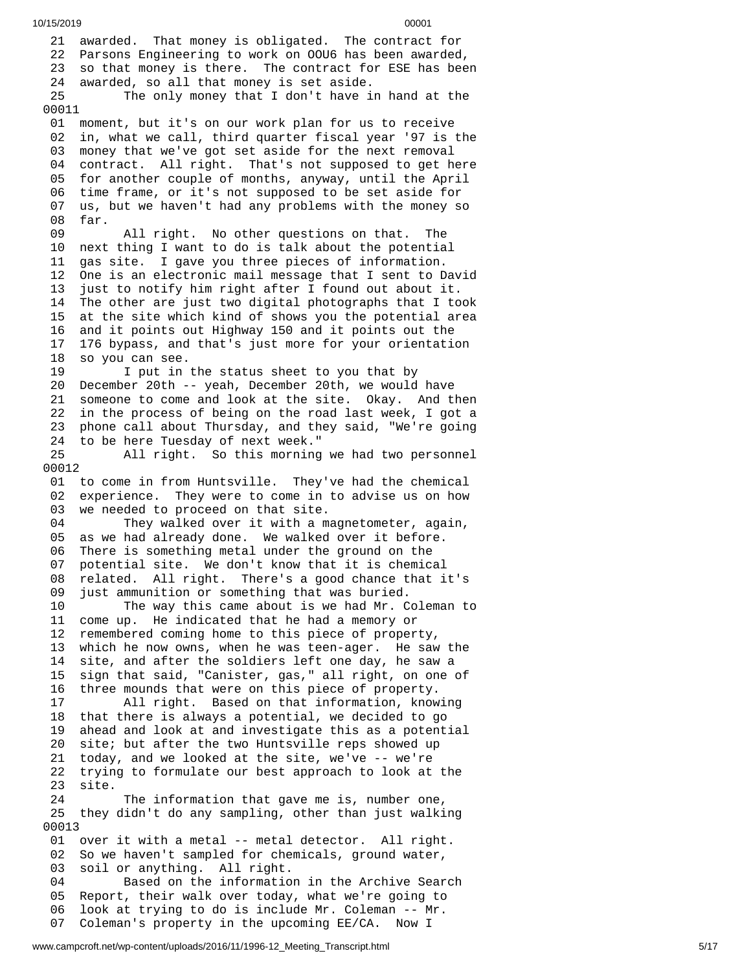21 awarded. That money is obligated. The contract for 22 Parsons Engineering to work on OOU6 has been awarded, 23 so that money is there. The contract for ESE has been 24 awarded, so all that money is set aside. 25 The only money that I don't have in hand at the 00011 01 moment, but it's on our work plan for us to receive 0 2 in, what we call, third quarter fiscal year '97 is the 0 3 money that we've got set aside for the next removal 04 contract. All right. That's not supposed to get here 05 for another couple of months, anyway, until the April 06 time frame, or it's not supposed to be set aside for 0 7 us, but we haven't had any problems with the money so 0 8 f a r. 09 All right. No other questions on that. The 10 next thing I want to do is talk about the potential 1 1 gas site. I gave you three pieces of information. 12 One is an electronic mail message that I sent to David 1 3 just to notify him right after I found out about it. 14 The other are just two digital photographs that I to o k 1 5 at the site which kind of shows you the potential area 1 6 and it points out Highway 150 and it points out the 1 7 176 bypass, and that's just more for your orientation 1 8 so you can see. 19 I put in the status sheet to you that by 20 December 20th -- yeah, December 20th, we would have 21 someone to come and look at the site. Okay. And then 22 in the process of being on the road last week, I got a 23 phone call about Thursday, and they said, "We're going 24 to be here Tuesday of next week." 2 5 All right. So this morning we had two personnel 0 0 0 1 2 01 to come in from Huntsville. They've had the chemical 02 experience. They were to come in to advise us on how 03 we needed to proceed on that site. 04 They walked over it with a magnetometer, again, 0 5 as we had already done. We walked over it before. 06 There is something metal under the ground on the 07 potential site. We don't know that it is chemical 08 related. All right. There's a good chance that i t's 0 9 just ammunition or something that was buried. 10 The way this came about is we had Mr. Coleman to 11 come up. He indicated that he had a memory or 12 remembered coming home to this piece of property, 13 which he now owns, when he was teen-ager. He saw the 14 site, and after the soldiers left one day, he saw a 15 sign that said, "Canister, gas," all right, on one of 1 6 three mounds that were on this piece of property. 17 All right. Based on that information, know i n g 18 that there is always a potential, we decided to go 1 9 ahead and look at and investigate this as a potential 2 0 site; but after the two Huntsville reps showed up 2 1 today, and we looked at the site, we've -- we're 2 2 trying to formulate our best approach to look at the 2 3 s i t e. 24 The information that gave me is, number one, 25 they didn't do any sampling, other than just walking 0 0 0 1 3 01 over it with a metal -- metal detector. All right. 02 So we haven't sampled for chemicals, ground water, 03 soil or anything. All right. 04 Based on the information in the Archive Searc h 0 5 Report, their walk over today, what we're going to 0 6 look at trying to do is include Mr. Coleman -- Mr. 07 Coleman's property in the upcoming EE/CA. Now I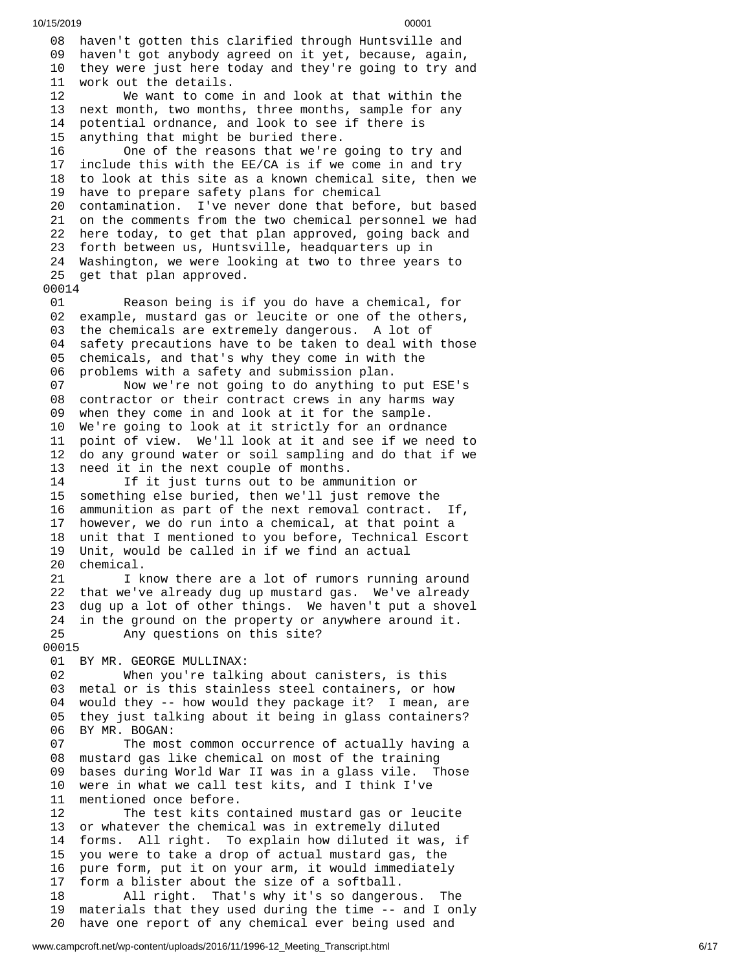08 haven't gotten this clarified through Huntsville and 09 haven't got anybody agreed on it yet, because, again, 10 they were just here today and they're going to try and 11 work out the details. 12 We want to come in and look at that within the 1 3 next month, two months, three months, sample for any 1 4 potential ordnance, and look to see if there is 1 5 anything that might be buried there. 16 One of the reasons that we're g o i n g t o t r y a n d 1 7 include this with the EE/CA is if we come in and try 18 to look at this site as a known chemical site, then we 19 have to prepare safety plans for chemical 20 contamination. I've never done that before, but based 21 on the comments from the two chemical personnel we had 22 here today, to get that plan approved, going back and 23 forth between us, Huntsville, headquarters up in 24 Washington, we were looking at two to three years to 25 get that plan approved. 00014 01 Reason being is if you do have a chemical, for 0 2 example, mustard gas or leucite or one of the others, 0 3 the chemicals are extremely dangerous. A lot of 0 4 safety precautions have to be taken to deal with those 0 5 chemicals, and that's why they come in with the 0 6 problems with a safety and submission plan. 07 Now we're not going to do anything to put ESE's 08 contractor or their contract crews in any harms way 09 when they come in and look at it for the sample. 10 We're going to look at it strictly for an ordnan c e 11 point of view. We'll look at it and see if we need to 12 do any ground water or soil sampling and do that if we 13 need it in the next couple of months. 14 If it just turns out to be ammunition or 15 something else buried, then we'll just remove the 1 6 ammunition as part of the next removal contract. If, 1 7 however, we do run into a chemical, at that point a 1 8 unit that I mentioned to you before, Technical Escort 1 9 Unit, would be called in if we find an actual 2 0 chemical. 21 I know there are a lot of rumors running around 22 that we've already dug up mustard gas. We've already 23 dug up a lot of other things. We haven't put a shovel 24 in the ground on the property or anywhere around it. 25 Any questions on this site? 0 0 0 1 5 01 BY MR. GEORGE MULLINAX: 02 When you're talki n g a b o u t c a n i s t e r s , i s t h i s 03 metal or is this stainless steel containers, or how 04 would they -- how would they package it? I mean, are 05 they just talking about it being in glass containers? 0 6 BY MR. BOGAN: 07 The most common occurrence of actually having a 0 8 mustard gas like chemical on most of the training 0 9 bases during World War II was in a glass vile. Those 1 0 were in what we call test kits, and I think I've 1 1 mentioned once before. 12 The test kits contained mustard gas or leucite 13 or whatever the chemical was in extremely diluted 14 forms. All right. To explain how diluted it was, if 1 5 you were to take a drop of actual mustard gas, the 16 pure form, put it on your arm, it would immediately 17 form a blister about the size of a softball. 18 All right. That's why it's so dangero u s. T h e 1 9 materials that they used during the time -- and I only 2 0 have one report of any chemical ever being used and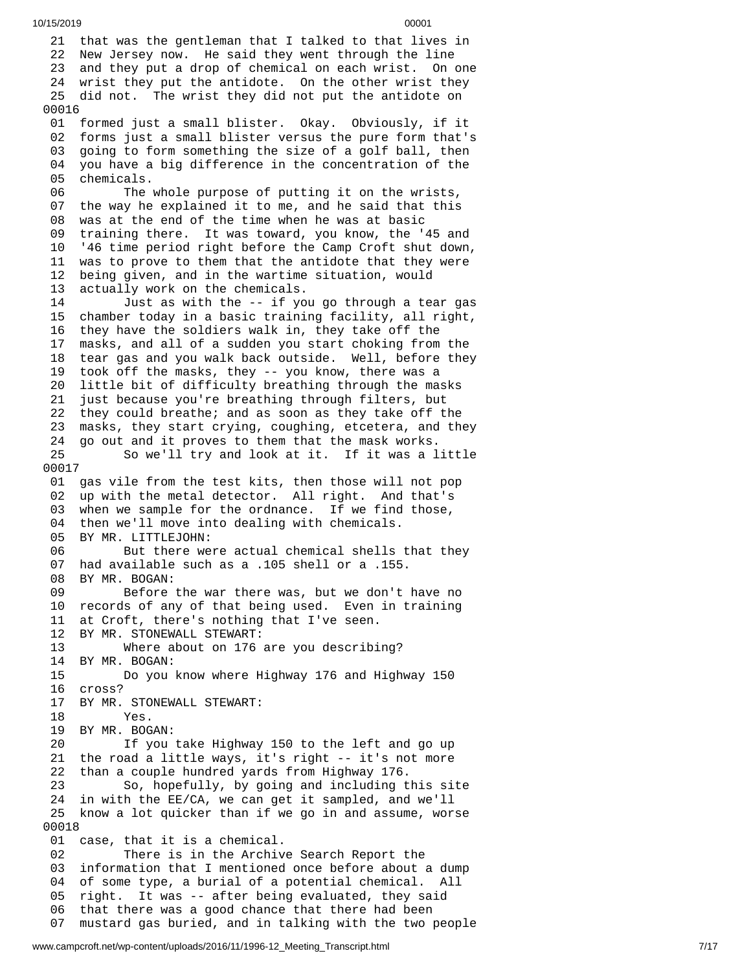21 that was the gentleman that I talked to that lives in 22 New Jersey now. He said they went through the line 23 and they put a drop of chemical on each wrist. On one 24 wrist they put the antidote. On the other wrist they 25 did not. The wrist they did not put the antidote on 00016 01 formed just a small blister. Okay. Obviously, if it 0 2 forms just a small blister versus the pure form that's 0 3 going to form something the size of a golf ball, then 0 4 you have a big difference in the concentration of the 05 chemicals. 06 The whole purpose of putting it on the wrists, 07 the way he explained it to me, and he said that this 0 8 was at the end of the time when he was at basic 0 9 training there. It was toward, you know, the '45 and 1 0 '46 time period right before the Camp Croft shut down, 11 was to prove to them that the antidote that they were 1 2 being given, and in the wartime situation, would 1 3 actually work on the chemicals. 14 Just as with the -- if you go through a tear gas 1 5 chamber today in a basic training facility, all right, 1 6 they have the soldiers walk in, they take off the 1 7 masks, and all of a sudden you start choking from the 1 8 tear gas and you walk back outside. Well, before they 1 9 took off the masks, they -- you know, there was a 2 0 little bit of difficulty breathing through the masks 21 just because you're breathing through filters, but 22 they could breathe; and as soon as they take off the 2 3 masks, they start crying, coughing, etcetera, and they 24 go out and it proves to them that the mask works. 25 So we'll try and look at it. If it was a l i t t l e 0 0 0 1 7 01 gas vile from the test kits, then those will not pop 02 up with the metal detector. All right. And that's 03 when we sample for the ordnance. If we find those, 04 then we'll move into dealing with chemicals. 05 BY MR. LITTLEJOHN: 06 But there were actual chemical shells that they 07 had available such as a .105 shell or a .155. 08 BY MR. BOGAN: 09 Before the war there was, but we don't h a v e n o 10 records of any of that being used. Even in training 11 at Croft, there's nothing that I've seen. 12 BY MR. STONEWALL STEWART: 13 Where about on 176 are you describi n g ? 14 BY MR. BOGAN: 15 Do you k n o w w h e r e H i g h w a y 1 7 6 a n d H i g h w a y 1 5 0 1 6 c r o s s ? 17 BY MR. STONEWALL STEWART: 18 Yes. 19 BY MR. BOGAN: 20 If you take Highway 150 to the left and go up 21 the road a little ways, it's right -- it's not more 2 2 than a couple hundred yards from Highway 176. 23 So, hopefully, by going and including this site 2 4 in with the EE/CA, we can get it sampled, and we'll 25 know a lot quicker than if we go in and assume, worse 0 0 0 1 8 01 case, that it is a chemical. 02 There is in the Archive Search Report the 03 information that I mentioned once before about a dump 04 of some type, a burial of a potential chemical. All 05 right. It was -- after being evaluated, they said 0 6 that there was a good chance that there had been 0 7 mustard gas buried, and in talking with the two people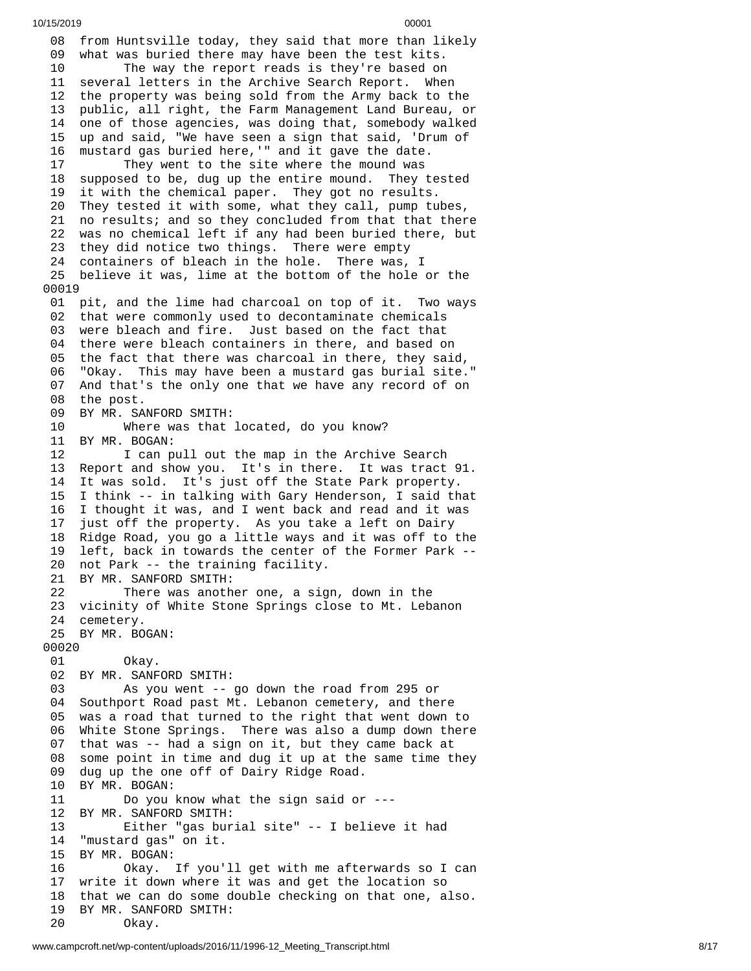08 from Huntsville today, they said that more than likely 09 what was buried there may have been the test kits. The way the report reads is they're based on several letters in the Archive Search Report. Whe n 12 the property was being sold from the Army back to the 3 public, all right, the Farm Management Land Bureau, or 14 one of those agencies, was doing that, somebody walked 15 up and said, "We have seen a sign that said, 'Drum of 6 mustard gas buried here,'" and it gave the date. They went to the site where the mound was 18 supposed to be, dug up the entire mound. They tested 19 it with the chemical paper. They got no results. They tested it with some, what they call, pump tu b e s , 21 no results; and so they concluded from that that there 22 was no chemical left if any had been buried there, but 23 they did notice two things. There were empty 24 containers of bleach in the hole. There was, I 25 believe it was, lime at the bottom of the hole or the 01 pit, and the lime had charcoal on top of it. Two ways 02 that were commonly used to decontaminate chemicals 03 were bleach and fire. Just based on the fact that 04 there were bleach containers in there, and based on 05 the fact that there was charcoal in there, they said, 6 "Okay. This may have been a mustard gas burial site." 07 And that's the only one that we have any record of on 08 the post. 09 BY MR. SANFORD SMITH: Where was that l o c a t e d , d o y o u k n o w ? 1 B Y M R. B O G A N: 12 I can pull out the map in the Archive Search 13 Report and show you. It's in there. It was tract 91. It was sold. It's just off the State Park property. I think -- in talking with Gary Henderson, I said that I thought it was, and I went back and read and it was just off the property. As you take a left on Dairy Ridge Road, you go a little ways and it was off to the left, back in towards the center of the Former Park -- not Park -- the training facility. BY MR. SANFORD SMITH: There was another one, a sign, down in the vicinity of White Stone Springs close to Mt. Lebanon cemetery. BY MR. BOGAN: Okay. BY MR. SANFORD SMITH: As you went -- go down the road from 295 or Southport Road past Mt. Lebanon cemetery, and there was a road that turned to the right that went down to White Stone Springs. There was also a dump down there that was -- had a sign on it, but they came back at some point in time and dug it up at the same time they dug up the one off of Dairy Ridge Road. BY MR. BOGAN: Do you know what the sign said or --- BY MR. SANFORD SMITH: Either "gas burial site" -- I believe it had "mustard gas" on it. BY MR. BOGAN: Okay. If you'll get with me afterwards so I can write it down where it was and get the location so that we can do some double checking on that one, also. BY MR. SANFORD SMITH: Okay.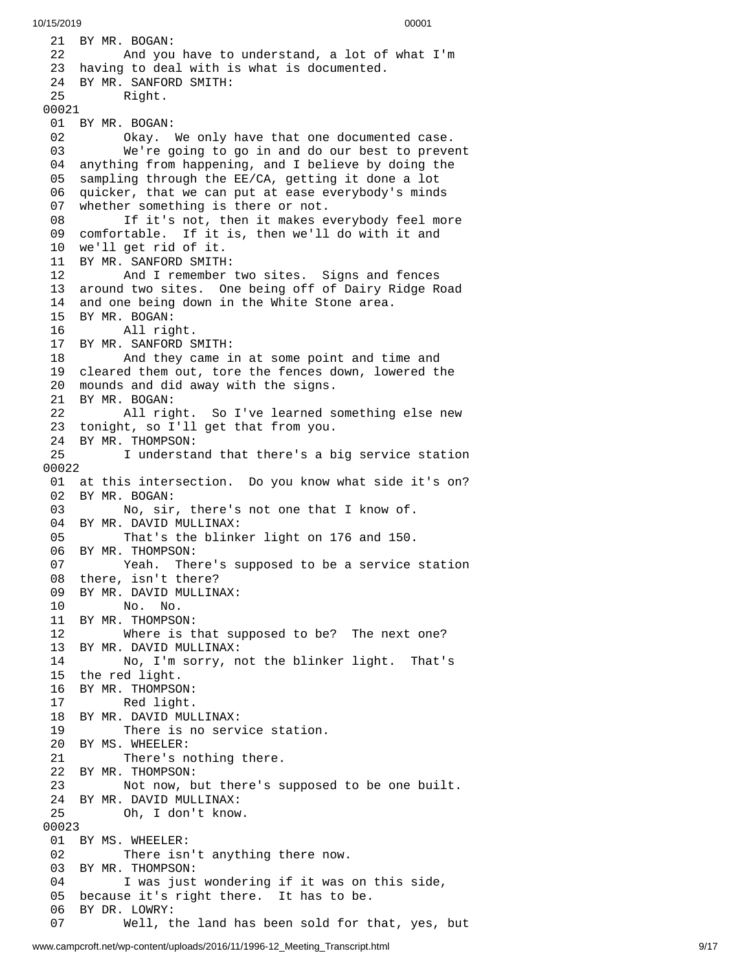21 BY MR. BOGAN: 22 And you h a v e t o u n d e r s t a n d , a l o t o f w h a t I'm 23 having to deal with is what is documented. 24 BY MR. SANFORD SMITH: 25 Right. 00021 01 BY MR. BOGAN: 02 Okay. We only have that one documen t e d c a s e. 03 We're going to go in and do our best to preve n t 04 anything from happening, and I believe by doing the 05 sampling through the EE/CA, getting it done a lot 06 quicker, that we can put at ease everybody's minds 07 whether something is there or not. 08 If it's not, then it makes everybody feel more 09 comfortable. If it is, then we'll do with it and 10 we'll get rid of it. 11 BY MR. SANFORD SMITH: 12 And I remember t w o s i t e s. S i g n s a n d f e n c e s 13 around two sites. One being off of Dairy Ridge Road 14 and one being down in the White Stone area. 15 BY MR. BOGAN: 16 All right. 17 BY MR. SANFORD SMITH: 18 And they came in at some point and ti m e a n d 19 cleared them out, tore the fences down, lowered the 20 mounds and did away with the signs. 21 BY MR. BOGAN: 22 All right. So I've learned s o m e t h i n g e l s e n e w 23 tonight, so I'll get that from you. 24 BY MR. THOMPSON: 25 I understand that there's a big service station 0 0 0 2 2 01 at this intersection. Do you know what side it's on? 02 BY MR. BOGAN: 03 No, sir , t h e r e's n o t o n e t h a t I k n o w o f. 04 BY MR. DAVID MULLINAX: 05 That's the blinker light on 176 and 150. 06 BY MR. THOMPSON: 07 Yeah. There's supposed to be a service station 08 there, isn't there? 09 BY MR. DAVID MULLINAX: 10 No. No. 11 BY MR. THOMPSON: 12 Where is that supposed to be? The next one? 13 BY MR. DAVID MULLINAX: 14 No, I'm sorry, not the blinker light. That's 15 the red light. 16 BY MR. THOMPSO N: 17 Red light. 18 BY MR. DAVID MULLINAX: 19 There is no service station. 20 BY MS. WHEELER:<br>21 There's n There's nothing there. 22 BY MR. THOMPSON: 23 Not now, but there's suppose d t o b e o n e b u i l t. 24 BY MR. DAVID MULLINAX: 25 Oh, I don't know. 00023 01 BY MS. WHEELER: 02 There isn't anything there now. 03 BY MR. THOMPSON:<br>04 I was just I was just wondering if it was on this side, 05 because it's right there. It has to be. 06 BY DR. LOWRY: 07 Well, the land has been sold for that, yes, bu t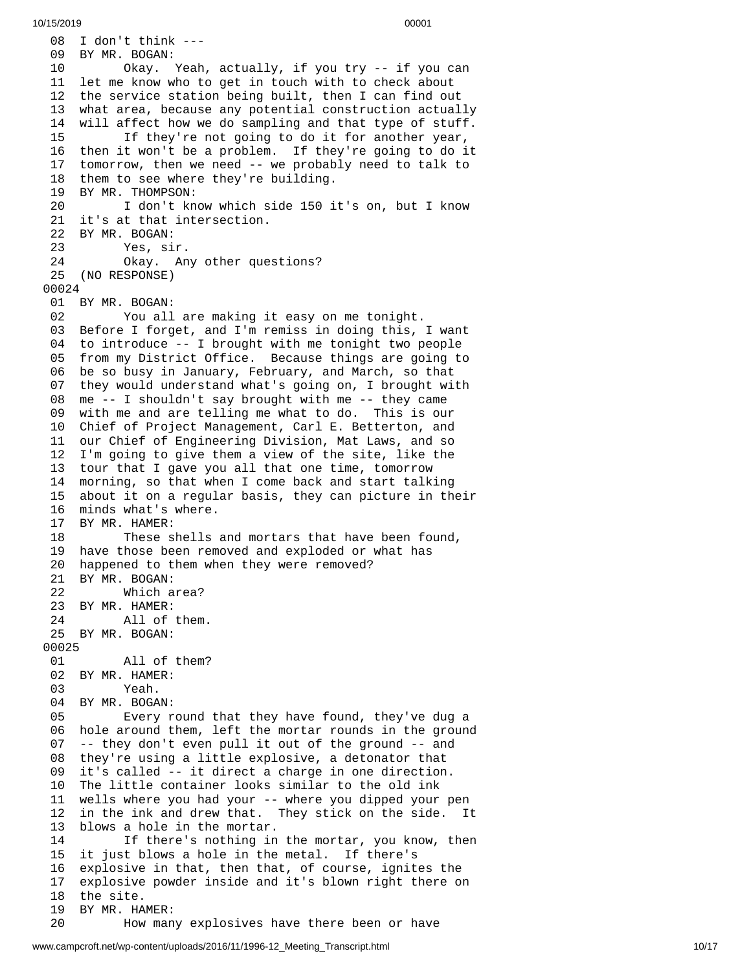08 I don't think ---09 BY MR. BOGAN: 10 Okay. Y e a h , a c t u a l l y , i f y o u t r y - - i f y o u c a n 11 let me know who to get in touch with to check about 12 the service station being built, then I can find out 1 3 what area, because any potential construction actually 1 4 will affect how we do sampling and that type of stuff. 15 If they're not going to do it for another year, 16 then it won't be a problem. If they're going to do it 17 tomorrow, then we need -- we probably need to talk to 18 them to see where they're building. 19 BY MR. THOMPSON: 20 I don't know which side 150 it's on, but I know 21 it's at that intersection. 22 BY MR. BOGAN: 23 Yes, sir. Okay. Any other questions? 25 (NO RESPONSE) 0 0 0 2 4 01 BY MR. BOGAN: 02 You all are making it easy on me tonight. 03 Before I forget, and I'm remiss in doing this, I want 04 to introduce -- I brought with me tonight two people 05 from my District Office. Because things are going to 06 be so busy in January, February, and March, so that 07 they would understand what's going on, I brought with 0 8 me -- I shouldn't say brought with me -- they came 09 with me and are telling me what to do. This is our 10 Chief of Project Management, Carl E. Betterton, and 11 our Chief of Engineering Division, Mat Laws, and so 12 I'm going to give them a view of the site, like the 13 tour that I gave you all that one time, tomorrow 1 4 morning, so that when I come back and start talking 1 5 about it on a regular basis, they can picture in their 1 6 minds what's where. 17 BY MR. HAMER: 18 These shells and mortars that have been found, 19 have those been removed and exploded or what has 20 happened to them when they were removed? 21 BY MR. BOGAN: 22 Which a r e a ? 23 BY MR. HAMER: 24 All of t h e m. 25 BY MR. BOGAN: 00025 01 All of them? 02 BY MR. HAMER: 03 Yeah. 04 BY MR. BOGAN: 05 Every round t h a t t h e y h a v e f o u n d , t h e y'v e d u g a 0 6 hole around them, left the mortar rounds in the ground 0 7 -- they don't even pull it out of the ground -- and 0 8 they're using a little explosive, a detonator that 0 9 it's called -- it direct a charge in one direction. 10 The little container looks similar to the old ink 11 wells where you had your -- where you dipped your p e n 1 2 in the ink and drew that. They stick on the side. I It 1 3 blows a hole in the mortar. 14 If there's nothing in the mortar, you know, then 15 it just blows a hole in the metal. If there's 1 6 explosive in that, then that, of course, ignites the 1 7 explosive powder inside and it's blown right there on 18 the site. 19 BY MR. HA M E R: 20 How many explosives have there been or have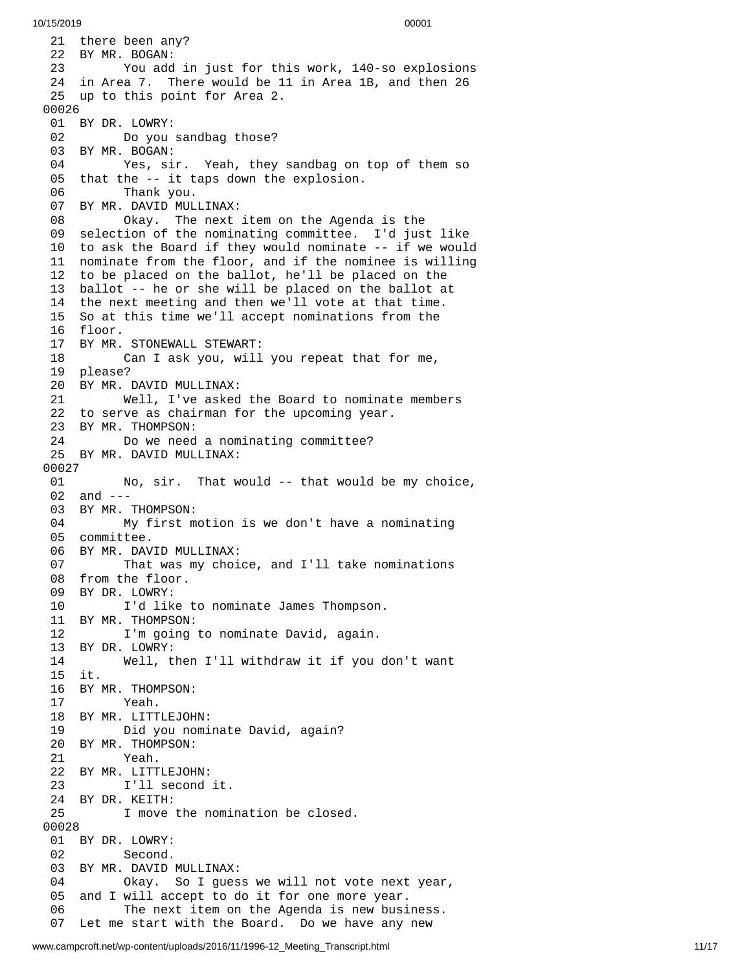21 there been any? 22 BY MR. BOGAN: 23 You add in just for this work, 140-so explosions 24 in Area 7. There would be 11 in Area 1B, and then 26 25 up to this point for Area 2. 00026 01 BY DR. LOWRY: 02 Do you sandbag those? 03 BY MR. BOGAN: 04 Yes, sir. Yeah, they sandbag on top of them so 05 that the -- it taps down the explosion. 06 Thank you. 07 BY MR. DAVID MULLINAX: 08 Okay. The next item on the Agenda is the 09 selection of the nominating committee. I'd just like 10 to ask the Board if they would nominate -- if we would 11 nominate from the floor, and if the nominee is willing 12 to be placed on the ballot, he'll be placed on the 13 ballot -- he or she will be placed on the ballot at 14 the next meeting and then we'll vote at that time. 15 So at this time we'll accept nominations from the 16 floor. 17 BY MR. STONEWALL STEWART: 18 Can I ask you, will you repeat that for me, 19 please? 20 BY MR. DAVID MULLINAX: 21 Well, I've asked the Board to nominate membe r s 22 to serve as chairman for the upcoming year. 23 BY MR. THOMPSON: 24 Do we need a nominating committee? 25 BY MR. DAVID MULLINAX: 00027 01 No, sir. That would -- that would be m y c h o i c e , 02 and ---03 BY MR. THOMPSON: 04 My first motion is we don't have a nominating 05 committee. 06 BY MR. DAVID MULLINAX: 07 That was my choice, and I'll take nominations 08 from the floor. 09 BY DR. LOWRY: 10 I'd like to nominate James Thompson. 11 BY MR. THOMPSON: 12 I'm going to nominate David, again. 13 BY DR. LOWRY: 14 Well, then I'll withdraw it if you d o n't w a n t 1 5 i t. 16 BY MR. THOMPSON: 17 Yeah. 18 BY MR. LITTLEJOH N: 19 Did you nomi n a t e D a v i d , a g a i n ? 20 BY MR. THOMPSON: 21 Yeah. 22 BY MR. LITTLEJOH N: 23 I'll second i t. 24 BY DR. KEITH: 25 I move the nomination be closed. 00028 01 BY DR. LOWRY: 02 Second. 03 BY MR. DAVID MULLINAX: 04 Okay. So I guess we will not vo t e n e x t y e a r , 0 5 and I will accept to do it for one more year. 06 The next item on the Agenda is new business. 07 Let me start with the Board. Do we have any new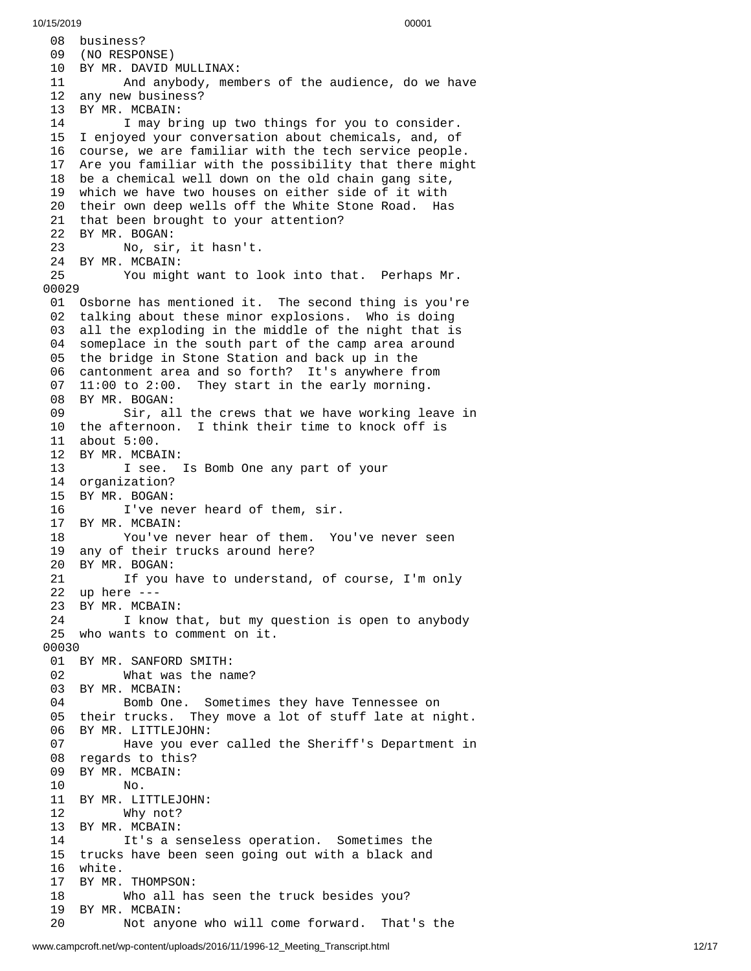08 business? 09 (NO RESPONSE) 10 BY MR. DAVID MULLINAX: 11 And anybody, mem b e r s o f t h e a u d i e n c e , d o w e h a v e 12 any new business? 13 BY MR. MCBAIN: 14 I may bring up two things for you to consider. 15 I enjoyed your conversation about chemicals, and, of 16 course, we are familiar with the tech service people. 17 Are you familiar with the possibility that there migh t 18 be a chemical well down on the old chain gang site, 19 which we have two houses on either side of it with 20 their own deep wells off the White Stone Road. Has 21 that been brought to your attention? 22 BY MR. BOGAN: 23 No, sir , i t h a s n't. 24 BY MR. MCBAIN:<br>25 You migh 25 You might want to look into that. Perhaps Mr. 00029 01 Osborne has mentioned it. The second thing is you'r e 0 2 talking about these minor explosions. Who is doing 0 3 all the exploding in the middle of the night that is 04 someplace in the south part of the camp area around 05 the bridge in Stone Station and back up in the 0 6 c a n t o n m e n t a r e a a n d s o f o r t h ? I t's a n y w h e r e f r o m 0 7 11:00 to 2:00. They start in the early morning. 08 BY MR. BOGAN: 09 Sir, all the crews that we have working leave in 10 the afternoon. I think their time to knock off is 11 about 5:00. 12 BY MR. MCBA I N: 13 I see. Is Bomb One any part of your 14 organization? 1 5 B Y M R. B O G A N: 16 I've never heard of them, sir. 17 BY MR. MCBAIN: 18 You've never hear of them. You've never seen 19 any of their trucks around here? 20 BY MR. BOGAN: 21 If you have to understand, of course, I'm only 22 up here ---23 BY MR. MCBAIN: 24 I know that, but my question is open to anybody 25 who wants to comment on it. 00030 01 BY MR. SANFORD SMITH: 02 What was the name? 03 BY MR. MCBAIN: 04 Bomb One. Sometimes t h e y h a v e T e n n e s s e e o n 05 their trucks. They move a lot of stuff late at night. 06 BY MR. LITTLEJOHN: 07 Have you ever called the Sheriff's Department in 08 regards to this? 09 BY MR. MCBAIN: 10 No. 11 BY MR. LITTLEJOHN: 12 Why not? 13 BY MR. MCBAIN: 14 It's a senseless operation. Sometimes the 15 trucks have been seen going out with a black and 16 white. 17 BY MR. THOMPSON: 18 Who all has seen the truck besides you? 19 BY MR. MCBAIN: 20 Not anyone who will come forward. That's the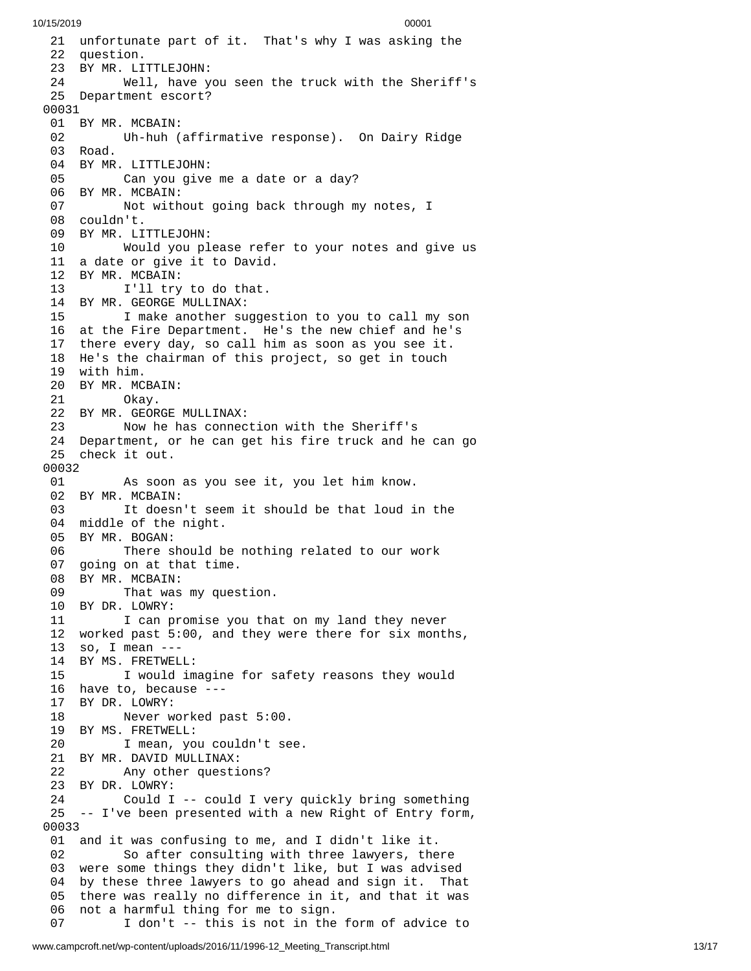21 unfortunate part of it. That's why I was asking the 22 question. 23 BY MR. LITTLEJOHN: 24 Well, have y o u s e e n t h e t r u c k w i t h t h e S h e r i f f's 25 Department escort? 0 0 0 3 1 01 BY MR. MCBAIN: 02 Uh-huh (affirmative response). On Dairy Ridge 03 Road. 04 BY MR. LITTLEJOHN: 05 Can you give me a date or a day? 06 BY MR. MCBAIN: 07 Not without going back through my notes, I 08 couldn't. 09 BY MR. LITTLEJOHN: 10 Would you please refer to your notes and give us 11 a date or give it to David. 12 BY MR. MCBAIN:<br>13 I'll try I'll try to do that. 14 BY MR. GEORGE MULLINAX: 15 I make another suggestion to you to call my son 16 at the Fire Department. He's the new chief and he's 17 there every day, so call him as soon as you see it. 18 He's the chairman of this project, so get in touch 19 with him. 20 BY MR. MCBAIN: 21 Okay. 22 BY MR. GEORGE MULLINAX: 23 Now he has connection with the Sheriff's 24 Department, or he can get his fire truck and he can g o 25 check it out. 00032 01 As soon as you see it, you let him know. 02 BY MR. MCBAIN: 03 It doesn't seem it should be that loud in the 04 middle of the night. 05 BY MR. BOGAN: 06 There should be nothing related to our work 07 going on at that time. 08 BY MR. MCBAIN: 09 That was my question. 10 BY DR. LOWRY: 11 I can promise you that on my land they never 12 worked past 5:00, and they were there for six months, 1 3 s o , I m e a n - - - 14 BY MS. FRETWELL: 15 I would imagine for safety reasons they would 16 have to, because ---1 7 B Y D R. L O W R Y: 18 Never w o r k e d p a s t 5:0 0. 19 BY MS. FRETWELL: 20 I mean, you couldn't se e. 21 BY MR. DAVID MULLINAX: 22 Any other questions? 23 BY DR. LOWRY: 24 Could I -- could I very quickly bring something 25 -- I've been presented with a new Right of Entry form, 0 0 0 3 3 01 and it was confusing to me, and I didn't like it. 02 So after consulting with three lawyers, the r e 03 were some things they didn't like, but I was advised 04 by these three lawyers to go ahead and sign it. That 05 there was really no difference in it, and that it was 06 not a harmful thing for me to sign. 07 I don't -- this is not in the form of advice to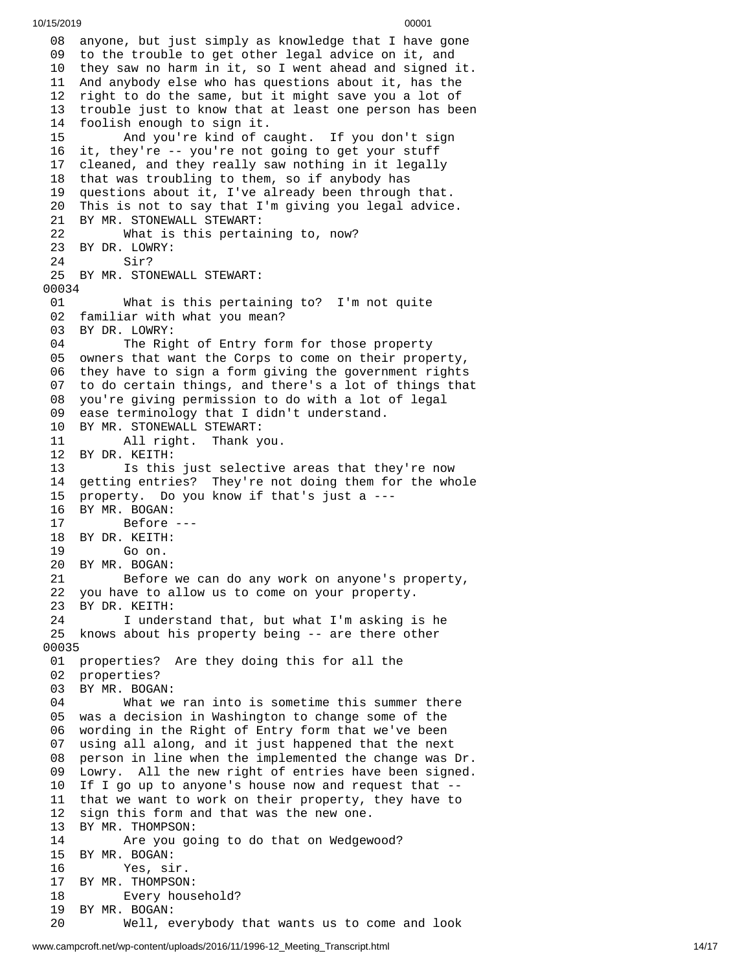08 anyone, but just simply as knowledge that I have gone 09 to the trouble to get other legal advice on it, and 10 they saw no harm in it, so I went ahead and signed it. And anybody else who has questions about it, has the right to do the same, but it might save you a lot of trouble just to know that at least one person has been foolish enough to sign it. And you're kind of caught. If you don't sign it, they're -- you're not going to get your stuff cleaned, and they really saw nothing in it legally that was troubling to them, so if anybody has questions about it, I've already been through that. This is not to say that I'm giving you legal advice. BY MR. STONEWALL STEWART: What is this pertaining to, now? BY DR. LOWRY: Sir? BY MR. STONEWALL STEWART: What is this pertaining to? I'm not quite familiar with what you mean? 03 BY DR. LOWRY:<br>04 The Rig The Right of Entry form for those property owners that want the Corps to come on their property, they have to sign a form giving the government rights to do certain things, and there's a lot of things that you're giving permission to do with a lot of legal ease terminology that I didn't understand. 10 BY MR. STONEWALL STEWART:<br>11 All right. Thank y All right. Thank you. BY DR. KEITH: Is this just selective areas that they're now getting entries? They're not doing them for the whole property. Do you know if that's just a --- BY MR. BOGAN: Before --- BY DR. KEITH: Go on. BY MR. BOGAN: Before we can do any work on anyone's property, you have to allow us to come on your property. BY DR. KEITH: I understand that, but what I'm asking is he knows about his property being -- are there other properties? Are they doing this for all the properties? BY MR. BOGAN: What we ran into is sometime this summer there was a decision in Washington to change some of the wording in the Right of Entry form that we've been using all along, and it just happened that the next person in line when the implemented the change was Dr. Lowry. All the new right of entries have been signed. If I go up to anyone's house now and request that -- that we want to work on their property, they have to sign this form and that was the new one. BY MR. THOMPSON: Are you going to do that on Wedgewood? BY MR. BOGAN: Yes, sir. BY MR. THOMPSON: Every household? BY MR. BOGAN: Well, everybody that wants us to come and look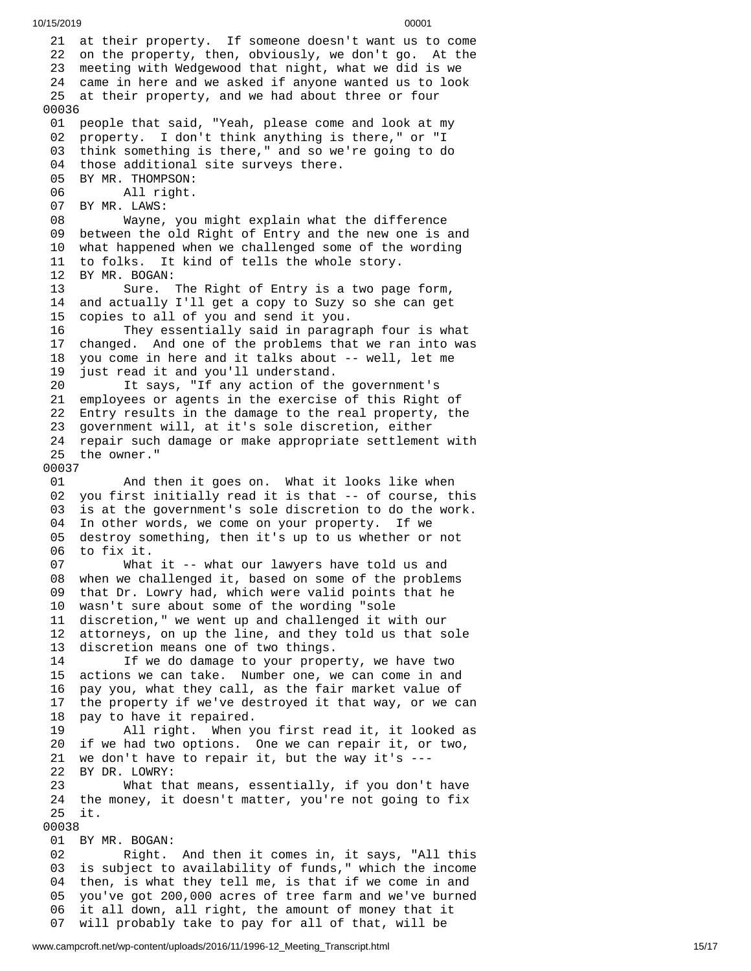21 at their property. If someone doesn't want us to come 22 on the property, then, obviously, we don't go. At the 23 meeting with Wedgewood that night, what we did is we 24 came in here and we asked if anyone wanted us to look 25 at their property, and we had about three or four 0 0 0 3 6 01 people that said, "Yeah, please come and look at my 02 property. I don't think anything is there," or "I 03 think something is there," and so we're going to do 04 those additional site surveys there. 05 BY MR. THOMPSON: 06 All right. 07 BY MR. LAWS: 08 Wayne, you might explain what t h e d i f f e r e n c e 09 between the old Right of Entry and the new one is and 10 what happened when we challenged some of the wording 11 to folks. It kind of tells the whole story. 12 BY MR. BOGAN:<br>13 Sure. 13 Sure. The Right of Entry is a two pag e f o r m , 14 and actually I'll get a copy to Suzy so she can get 1 5 copies to all of you and send it you. 16 They essentially said in paragraph four is what 1 7 changed. And one of the problems that we ran into was 1 8 you come in here and it talks about -- well, let me 1 9 just read it and you'll understand. 20 It says, "If any action of the government's 21 employees or agents in the exercise of this Right of 22 Entry results in the damage to the real property, the 23 government will, at it's sole discretion, either 24 repair such damage or make appropriate settlement with 25 the owner." 0 0 0 3 7 0 1 And then it goes on. What it looks like when 02 you first initially read it is that -- of course, this 03 is at the government's sole discretion to do the work. 04 In other words, we come on your property. If we 05 destroy something, then it's up to us whether or not 06 to fix it. 07 What it -- what our lawyers have told us and 08 when we challenged it, based on some of the problems 09 that Dr. Lowry had, which were valid points that he 10 wasn't sure about some of the wording "sole 11 discretion," we went up and challenged it with our 12 attorneys, on up the line, and they told us that sole 13 discretion means one of two things.<br>14 15 We do damage to your prope If we do damage to your property, we have two 15 actions we can take. Number one, we can come in and 16 pay you, what they call, as the fair market value of 17 the property if we've destroyed it that way, or we can 18 pay to have it repaired. 19 All right. When you first read it, it looked as 20 if we had two options. One we can repair it, or two, 21 we don't have to repair it, but the way it's --- 22 BY DR. LOWRY: 23 What that means, essentially, if you don't have 24 the money, it doesn't matter, you're not going to fix 25 it. 00038 01 BY MR. BOGAN: 02 Right. And then it comes in, it says, "All this 03 is subject to availability of funds," which the income 04 then, is what they tell me, is that if we come in and 05 you've got 200,000 acres of tree farm and we've burned 06 it all down, all right, the amount of money that it 07 will probably take to pay for all of that, will be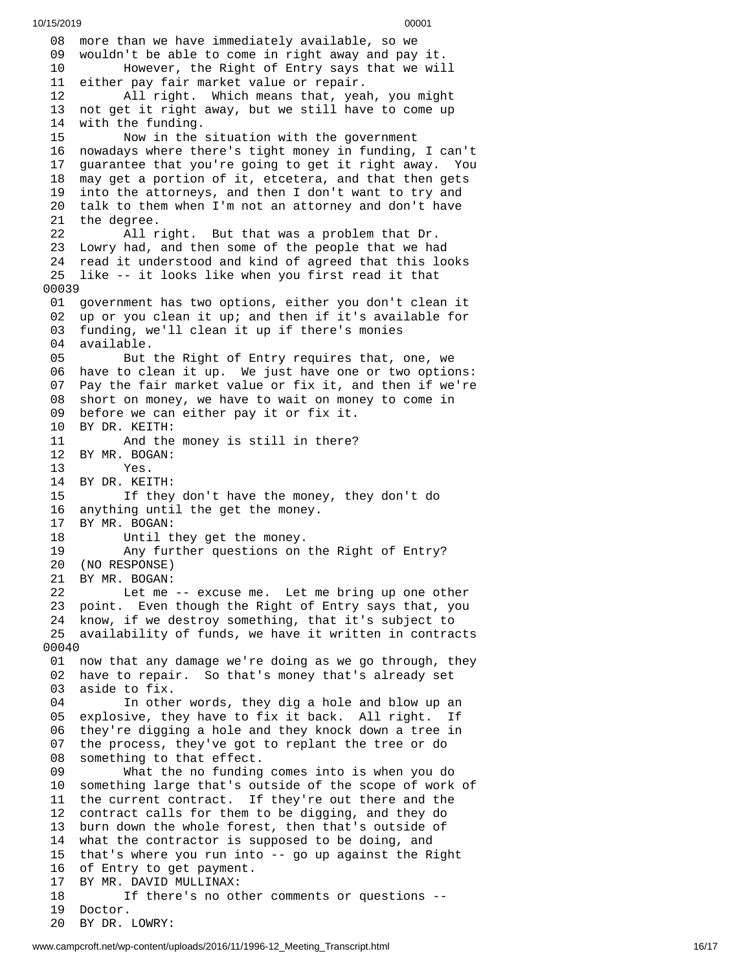08 more than we have immediately available, so we 09 wouldn't be able to come in right away and pay it. 10 However, the Right of Entry says that we wil l 11 either pay fair market value or repair. 12 All right. Which means that, yea h , y o u m i g h t 13 not get it right away, but we still have to come up 14 with the funding. 15 Now in the situation with the government 16 nowadays where there's tight money in funding, I can't 1 7 guarantee that you're going to get it right away. You 1 8 may get a portion of it, etcetera, and that then gets 19 into the attorneys, and then I don't want to try and 20 talk to them when I'm not an attorney and don't have 21 the degree. 22 All r i g h t. B u t t h a t w a s a p r o b l e m t h a t D r. 23 Lowry had, and then some of the people that we ha d 24 read it understood and kind of agreed that this looks 25 like -- it looks like when you first read it that 0 0 0 3 9 01 government has two options, either you don't clean it 02 up or you clean it up; and then if it's available for 03 funding, we'll clean it up if there's monies 0 4 available. 05 But the Right of Entry requires that, one, we 06 have to clean it up. We just have one or two options: 07 Pay the fair market value or fix it, and then if we're 08 short on money, we have to wait on money to come in 09 before we can either pay it or fix it. 10 BY DR. KEITH: And the money is still in there? 12 BY MR. BOGAN: 13 Yes. 14 BY DR. KEITH: 15 If they don't have the money, they don't do 16 anything until the get the money.<br>17 BY MR. BOGAN: BY MR. BOGAN: 18 Until they get the money. 19 Any further questions on the Right of Entry? 20 (NO RESPONSE) 21 BY MR. BOGAN: 22 Let me -- excuse me. Let me bring up one other 23 point. Even though the Right of Entry says that, you 24 know, if we destroy something, that it's subject to 25 availability of funds, we have it written in contracts 0 0 0 4 0 01 now that any damage we're doing as we go through, they 02 have to repair. So that's money that's already set 03 aside to fix. 04 In other words, they dig a hole and blow up an 05 explosive, they have to fix it back. All right. If 0 6 they're digging a hole and they knock down a tree in 0 7 the process, they've got to replant the tree or do 0 8 something to that effect. 09 What the no funding c o m e s i n t o i s w h e n y o u d o 1 0 something large that's outside of the scope of work of 1 1 the current contract. If they're out there and the 1 2 contract calls for them to be digging, and they do 13 burn down the whole forest, then that's outside of 14 what the contractor is supposed to be doing, and 15 that's where you run into -- go up against the Right 16 of Entry to get payment. 17 BY MR. DAVID MULLINAX: 18 If there's no other comments or questions --19 Doctor. 20 BY DR. LOWRY: